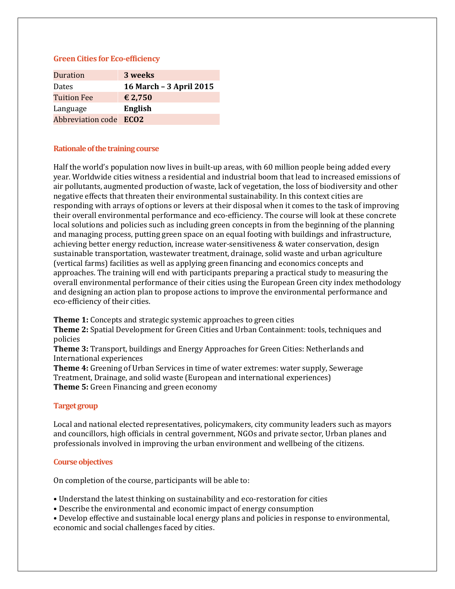### **Green Cities for Eco-efficiency**

| Duration               | 3 weeks                 |
|------------------------|-------------------------|
| Dates                  | 16 March - 3 April 2015 |
| <b>Tuition Fee</b>     | € 2,750                 |
| Language               | English                 |
| Abbreviation code ECO2 |                         |

# **Rationale of the training course**

Half the world's population now lives in built-up areas, with 60 million people being added every year. Worldwide cities witness a residential and industrial boom that lead to increased emissions of air pollutants, augmented production of waste, lack of vegetation, the loss of biodiversity and other negative effects that threaten their environmental sustainability. In this context cities are responding with arrays of options or levers at their disposal when it comes to the task of improving their overall environmental performance and eco-efficiency. The course will look at these concrete local solutions and policies such as including green concepts in from the beginning of the planning and managing process, putting green space on an equal footing with buildings and infrastructure, achieving better energy reduction, increase water-sensitiveness & water conservation, design sustainable transportation, wastewater treatment, drainage, solid waste and urban agriculture (vertical farms) facilities as well as applying green financing and economics concepts and approaches. The training will end with participants preparing a practical study to measuring the overall environmental performance of their cities using the European Green city index methodology and designing an action plan to propose actions to improve the environmental performance and eco-efficiency of their cities.

**Theme 1:** Concepts and strategic systemic approaches to green cities

**Theme 2:** Spatial Development for Green Cities and Urban Containment: tools, techniques and policies

**Theme 3:** Transport, buildings and Energy Approaches for Green Cities: Netherlands and International experiences

**Theme 4:** Greening of Urban Services in time of water extremes: water supply, Sewerage Treatment, Drainage, and solid waste (European and international experiences) **Theme 5:** Green Financing and green economy

# **Target group**

Local and national elected representatives, policymakers, city community leaders such as mayors and councillors, high officials in central government, NGOs and private sector, Urban planes and professionals involved in improving the urban environment and wellbeing of the citizens.

### **Course objectives**

On completion of the course, participants will be able to:

• Understand the latest thinking on sustainability and eco-restoration for cities

• Describe the environmental and economic impact of energy consumption

• Develop effective and sustainable local energy plans and policies in response to environmental, economic and social challenges faced by cities.